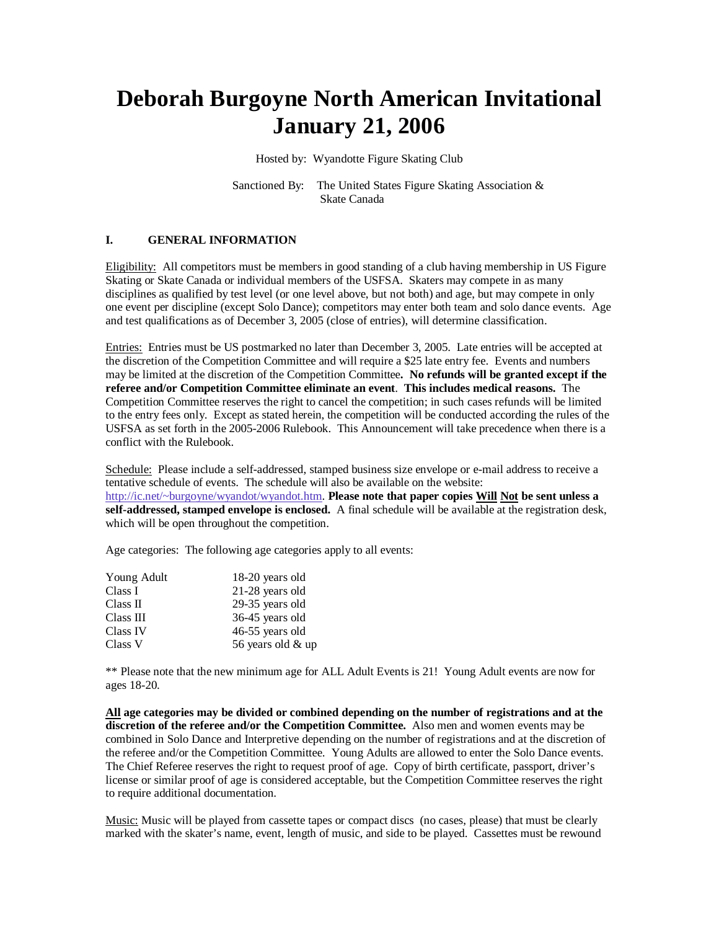# **Deborah Burgoyne North American Invitational January 21, 2006**

Hosted by: Wyandotte Figure Skating Club

Sanctioned By: The United States Figure Skating Association & Skate Canada

### **I. GENERAL INFORMATION**

Eligibility: All competitors must be members in good standing of a club having membership in US Figure Skating or Skate Canada or individual members of the USFSA. Skaters may compete in as many disciplines as qualified by test level (or one level above, but not both) and age, but may compete in only one event per discipline (except Solo Dance); competitors may enter both team and solo dance events. Age and test qualifications as of December 3, 2005 (close of entries), will determine classification.

Entries: Entries must be US postmarked no later than December 3, 2005. Late entries will be accepted at the discretion of the Competition Committee and will require a \$25 late entry fee. Events and numbers may be limited at the discretion of the Competition Committee**. No refunds will be granted except if the referee and/or Competition Committee eliminate an event**. **This includes medical reasons.** The Competition Committee reserves the right to cancel the competition; in such cases refunds will be limited to the entry fees only. Except as stated herein, the competition will be conducted according the rules of the USFSA as set forth in the 2005-2006 Rulebook. This Announcement will take precedence when there is a conflict with the Rulebook.

Schedule: Please include a self-addressed, stamped business size envelope or e-mail address to receive a tentative schedule of events. The schedule will also be available on the website: http://ic.net/~burgoyne/wyandot/wyandot.htm. **Please note that paper copies Will Not be sent unless a self-addressed, stamped envelope is enclosed.** A final schedule will be available at the registration desk, which will be open throughout the competition.

Age categories: The following age categories apply to all events:

| Young Adult | 18-20 years old   |  |  |
|-------------|-------------------|--|--|
| Class I     | 21-28 years old   |  |  |
| Class II    | 29-35 years old   |  |  |
| Class III   | 36-45 years old   |  |  |
| Class IV    | 46-55 years old   |  |  |
| Class V     | 56 years old & up |  |  |

\*\* Please note that the new minimum age for ALL Adult Events is 21! Young Adult events are now for ages 18-20.

**All age categories may be divided or combined depending on the number of registrations and at the discretion of the referee and/or the Competition Committee.** Also men and women events may be combined in Solo Dance and Interpretive depending on the number of registrations and at the discretion of the referee and/or the Competition Committee. Young Adults are allowed to enter the Solo Dance events. The Chief Referee reserves the right to request proof of age. Copy of birth certificate, passport, driver's license or similar proof of age is considered acceptable, but the Competition Committee reserves the right to require additional documentation.

Music: Music will be played from cassette tapes or compact discs (no cases, please) that must be clearly marked with the skater's name, event, length of music, and side to be played. Cassettes must be rewound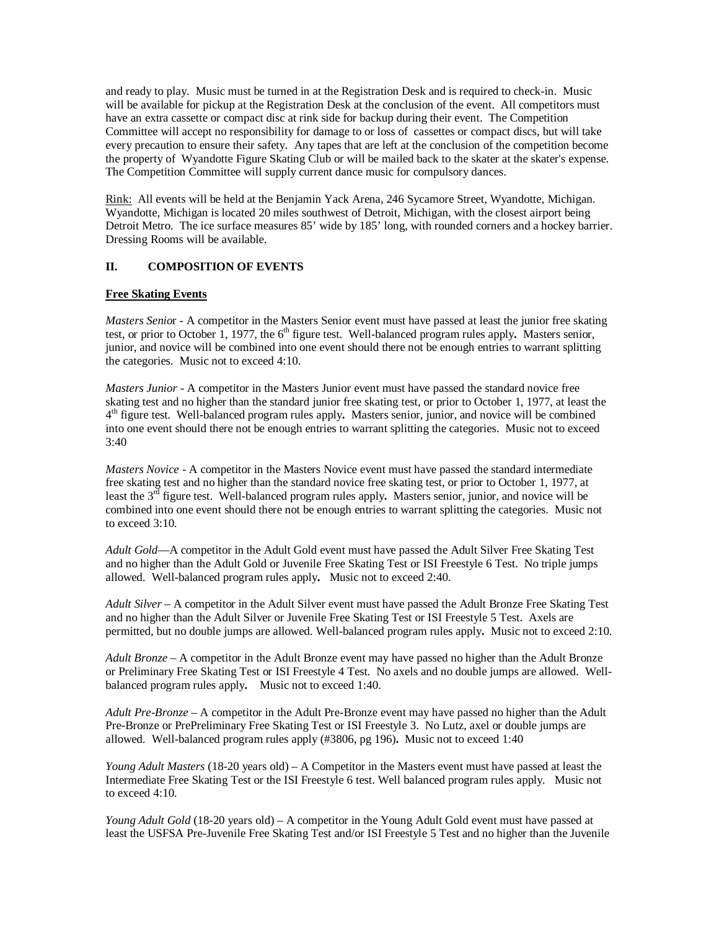and ready to play. Music must be turned in at the Registration Desk and is required to check-in. Music will be available for pickup at the Registration Desk at the conclusion of the event. All competitors must have an extra cassette or compact disc at rink side for backup during their event. The Competition Committee will accept no responsibility for damage to or loss of cassettes or compact discs, but will take every precaution to ensure their safety. Any tapes that are left at the conclusion of the competition become the property of Wyandotte Figure Skating Club or will be mailed back to the skater at the skater's expense. The Competition Committee will supply current dance music for compulsory dances.

Rink: All events will be held at the Benjamin Yack Arena, 246 Sycamore Street, Wyandotte, Michigan. Wyandotte, Michigan is located 20 miles southwest of Detroit, Michigan, with the closest airport being Detroit Metro. The ice surface measures 85' wide by 185' long, with rounded corners and a hockey barrier. Dressing Rooms will be available.

### **II. COMPOSITION OF EVENTS**

### **Free Skating Events**

*Masters Senio*r - A competitor in the Masters Senior event must have passed at least the junior free skating test, or prior to October 1, 1977, the 6<sup>th</sup> figure test. Well-balanced program rules apply. Masters senior, junior, and novice will be combined into one event should there not be enough entries to warrant splitting the categories. Music not to exceed 4:10.

*Masters Junior* - A competitor in the Masters Junior event must have passed the standard novice free skating test and no higher than the standard junior free skating test, or prior to October 1, 1977, at least the 4 th figure test. Well-balanced program rules apply**.** Masters senior, junior, and novice will be combined into one event should there not be enough entries to warrant splitting the categories. Music not to exceed 3:40

*Masters Novice* - A competitor in the Masters Novice event must have passed the standard intermediate free skating test and no higher than the standard novice free skating test, or prior to October 1, 1977, at least the 3<sup>rd</sup> figure test. Well-balanced program rules apply. Masters senior, junior, and novice will be combined into one event should there not be enough entries to warrant splitting the categories. Music not to exceed 3:10.

*Adult Gold*—A competitor in the Adult Gold event must have passed the Adult Silver Free Skating Test and no higher than the Adult Gold or Juvenile Free Skating Test or ISI Freestyle 6 Test. No triple jumps allowed. Well-balanced program rules apply**.** Music not to exceed 2:40.

*Adult Silver* – A competitor in the Adult Silver event must have passed the Adult Bronze Free Skating Test and no higher than the Adult Silver or Juvenile Free Skating Test or ISI Freestyle 5 Test. Axels are permitted, but no double jumps are allowed. Well-balanced program rules apply**.** Music not to exceed 2:10.

*Adult Bronze* – A competitor in the Adult Bronze event may have passed no higher than the Adult Bronze or Preliminary Free Skating Test or ISI Freestyle 4 Test. No axels and no double jumps are allowed. Wellbalanced program rules apply**.** Music not to exceed 1:40.

*Adult Pre-Bronze* – A competitor in the Adult Pre-Bronze event may have passed no higher than the Adult Pre-Bronze or PrePreliminary Free Skating Test or ISI Freestyle 3. No Lutz, axel or double jumps are allowed. Well-balanced program rules apply (#3806, pg 196)**.** Music not to exceed 1:40

*Young Adult Masters* (18-20 years old) – A Competitor in the Masters event must have passed at least the Intermediate Free Skating Test or the ISI Freestyle 6 test. Well balanced program rules apply. Music not to exceed 4:10.

*Young Adult Gold* (18-20 years old) – A competitor in the Young Adult Gold event must have passed at least the USFSA Pre-Juvenile Free Skating Test and/or ISI Freestyle 5 Test and no higher than the Juvenile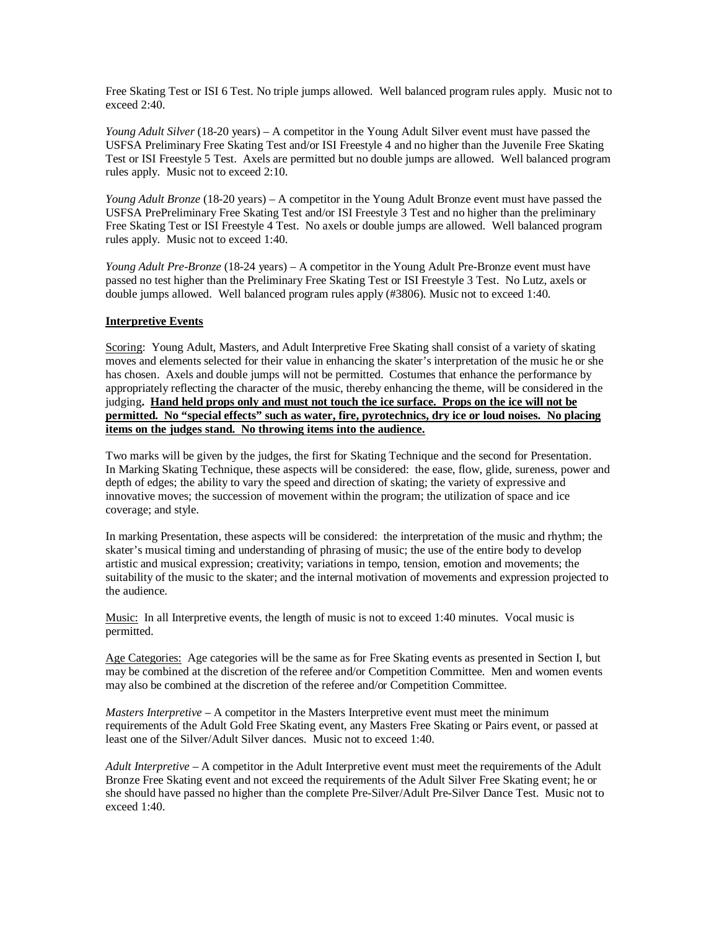Free Skating Test or ISI 6 Test. No triple jumps allowed. Well balanced program rules apply. Music not to exceed 2:40.

*Young Adult Silver* (18-20 years) – A competitor in the Young Adult Silver event must have passed the USFSA Preliminary Free Skating Test and/or ISI Freestyle 4 and no higher than the Juvenile Free Skating Test or ISI Freestyle 5 Test. Axels are permitted but no double jumps are allowed. Well balanced program rules apply. Music not to exceed 2:10.

*Young Adult Bronze* (18-20 years) – A competitor in the Young Adult Bronze event must have passed the USFSA PrePreliminary Free Skating Test and/or ISI Freestyle 3 Test and no higher than the preliminary Free Skating Test or ISI Freestyle 4 Test. No axels or double jumps are allowed. Well balanced program rules apply. Music not to exceed 1:40.

*Young Adult Pre-Bronze* (18-24 years) – A competitor in the Young Adult Pre-Bronze event must have passed no test higher than the Preliminary Free Skating Test or ISI Freestyle 3 Test. No Lutz, axels or double jumps allowed. Well balanced program rules apply (#3806). Music not to exceed 1:40.

### **Interpretive Events**

Scoring: Young Adult, Masters, and Adult Interpretive Free Skating shall consist of a variety of skating moves and elements selected for their value in enhancing the skater's interpretation of the music he or she has chosen. Axels and double jumps will not be permitted. Costumes that enhance the performance by appropriately reflecting the character of the music, thereby enhancing the theme, will be considered in the judging. Hand held props only and must not touch the ice surface. Props on the ice will not be **permitted. No "special effects" such as water, fire, pyrotechnics, dry ice or loud noises. No placing items on the judges stand. No throwing items into the audience.**

Two marks will be given by the judges, the first for Skating Technique and the second for Presentation. In Marking Skating Technique, these aspects will be considered: the ease, flow, glide, sureness, power and depth of edges; the ability to vary the speed and direction of skating; the variety of expressive and innovative moves; the succession of movement within the program; the utilization of space and ice coverage; and style.

In marking Presentation, these aspects will be considered: the interpretation of the music and rhythm; the skater's musical timing and understanding of phrasing of music; the use of the entire body to develop artistic and musical expression; creativity; variations in tempo, tension, emotion and movements; the suitability of the music to the skater; and the internal motivation of movements and expression projected to the audience.

Music: In all Interpretive events, the length of music is not to exceed 1:40 minutes. Vocal music is permitted.

Age Categories: Age categories will be the same as for Free Skating events as presented in Section I, but may be combined at the discretion of the referee and/or Competition Committee. Men and women events may also be combined at the discretion of the referee and/or Competition Committee.

*Masters Interpretive* – A competitor in the Masters Interpretive event must meet the minimum requirements of the Adult Gold Free Skating event, any Masters Free Skating or Pairs event, or passed at least one of the Silver/Adult Silver dances. Music not to exceed 1:40.

*Adult Interpretive* – A competitor in the Adult Interpretive event must meet the requirements of the Adult Bronze Free Skating event and not exceed the requirements of the Adult Silver Free Skating event; he or she should have passed no higher than the complete Pre-Silver/Adult Pre-Silver Dance Test. Music not to exceed 1:40.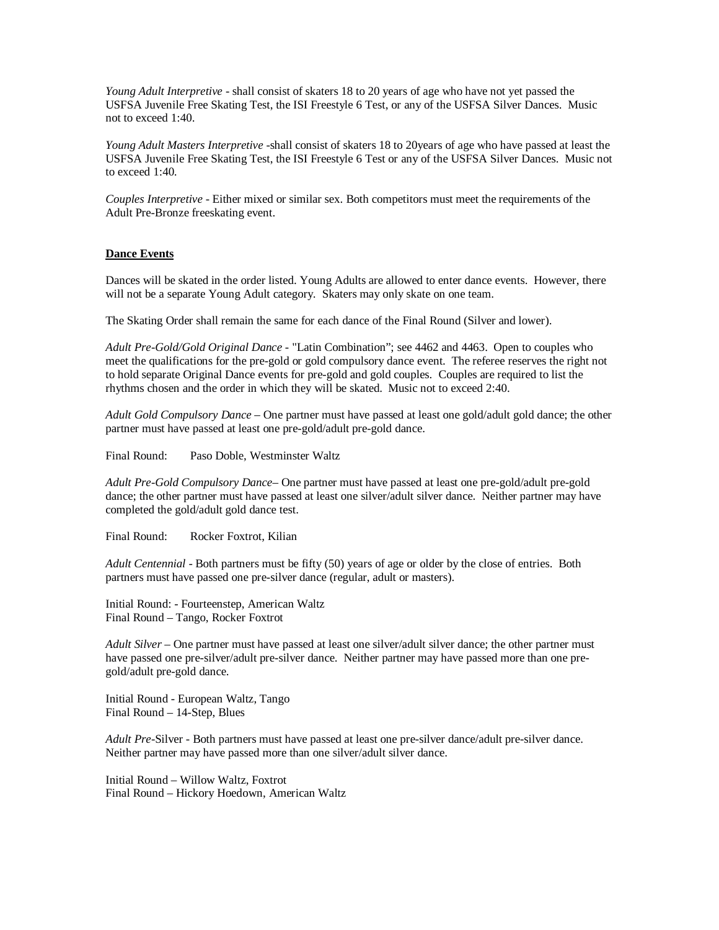*Young Adult Interpretive* - shall consist of skaters 18 to 20 years of age who have not yet passed the USFSA Juvenile Free Skating Test, the ISI Freestyle 6 Test, or any of the USFSA Silver Dances. Music not to exceed 1:40.

*Young Adult Masters Interpretive* -shall consist of skaters 18 to 20years of age who have passed at least the USFSA Juvenile Free Skating Test, the ISI Freestyle 6 Test or any of the USFSA Silver Dances. Music not to exceed 1:40.

*Couples Interpretive -* Either mixed or similar sex. Both competitors must meet the requirements of the Adult Pre-Bronze freeskating event.

### **Dance Events**

Dances will be skated in the order listed. Young Adults are allowed to enter dance events. However, there will not be a separate Young Adult category. Skaters may only skate on one team.

The Skating Order shall remain the same for each dance of the Final Round (Silver and lower).

*Adult Pre-Gold/Gold Original Dance -* "Latin Combination"; see 4462 and 4463. Open to couples who meet the qualifications for the pre-gold or gold compulsory dance event. The referee reserves the right not to hold separate Original Dance events for pre-gold and gold couples. Couples are required to list the rhythms chosen and the order in which they will be skated. Music not to exceed 2:40.

*Adult Gold Compulsory Dance* – One partner must have passed at least one gold/adult gold dance; the other partner must have passed at least one pre-gold/adult pre-gold dance.

Final Round: Paso Doble, Westminster Waltz

*Adult Pre-Gold Compulsory Dance*– One partner must have passed at least one pre-gold/adult pre-gold dance; the other partner must have passed at least one silver/adult silver dance. Neither partner may have completed the gold/adult gold dance test.

Final Round: Rocker Foxtrot, Kilian

*Adult Centennial -* Both partners must be fifty (50) years of age or older by the close of entries. Both partners must have passed one pre-silver dance (regular, adult or masters).

Initial Round: - Fourteenstep, American Waltz Final Round – Tango, Rocker Foxtrot

*Adult Silver* – One partner must have passed at least one silver/adult silver dance; the other partner must have passed one pre-silver/adult pre-silver dance. Neither partner may have passed more than one pregold/adult pre-gold dance.

Initial Round - European Waltz, Tango Final Round – 14-Step, Blues

*Adult Pre-*Silver - Both partners must have passed at least one pre-silver dance/adult pre-silver dance. Neither partner may have passed more than one silver/adult silver dance.

Initial Round – Willow Waltz, Foxtrot Final Round – Hickory Hoedown, American Waltz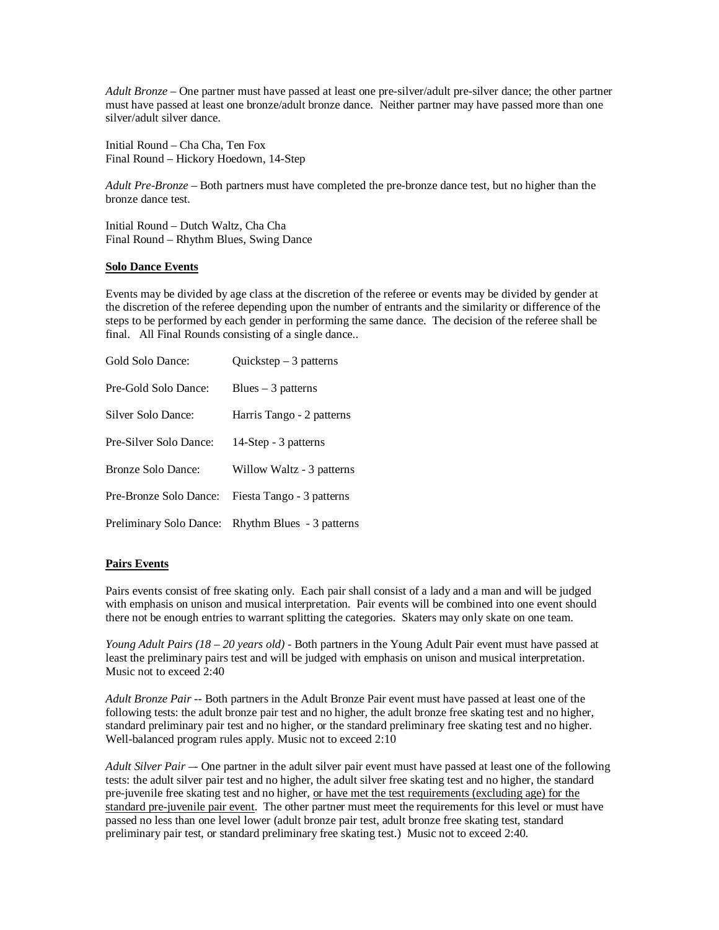*Adult Bronze* – One partner must have passed at least one pre-silver/adult pre-silver dance; the other partner must have passed at least one bronze/adult bronze dance. Neither partner may have passed more than one silver/adult silver dance.

Initial Round – Cha Cha, Ten Fox Final Round – Hickory Hoedown, 14-Step

*Adult Pre-Bronze* – Both partners must have completed the pre-bronze dance test, but no higher than the bronze dance test.

Initial Round – Dutch Waltz, Cha Cha Final Round – Rhythm Blues, Swing Dance

### **Solo Dance Events**

Events may be divided by age class at the discretion of the referee or events may be divided by gender at the discretion of the referee depending upon the number of entrants and the similarity or difference of the steps to be performed by each gender in performing the same dance. The decision of the referee shall be final. All Final Rounds consisting of a single dance..

| Gold Solo Dance:       | Quickstep $-3$ patterns                           |
|------------------------|---------------------------------------------------|
| Pre-Gold Solo Dance:   | Blues $-3$ patterns                               |
| Silver Solo Dance:     | Harris Tango - 2 patterns                         |
| Pre-Silver Solo Dance: | 14-Step - 3 patterns                              |
| Bronze Solo Dance:     | Willow Waltz - 3 patterns                         |
| Pre-Bronze Solo Dance: | Fiesta Tango - 3 patterns                         |
|                        | Preliminary Solo Dance: Rhythm Blues - 3 patterns |

### **Pairs Events**

Pairs events consist of free skating only. Each pair shall consist of a lady and a man and will be judged with emphasis on unison and musical interpretation. Pair events will be combined into one event should there not be enough entries to warrant splitting the categories. Skaters may only skate on one team.

*Young Adult Pairs (18 – 20 years old) -* Both partners in the Young Adult Pair event must have passed at least the preliminary pairs test and will be judged with emphasis on unison and musical interpretation. Music not to exceed 2:40

*Adult Bronze Pair --* Both partners in the Adult Bronze Pair event must have passed at least one of the following tests: the adult bronze pair test and no higher, the adult bronze free skating test and no higher, standard preliminary pair test and no higher, or the standard preliminary free skating test and no higher. Well-balanced program rules apply. Music not to exceed 2:10

*Adult Silver Pair* –- One partner in the adult silver pair event must have passed at least one of the following tests: the adult silver pair test and no higher, the adult silver free skating test and no higher, the standard pre-juvenile free skating test and no higher, or have met the test requirements (excluding age) for the standard pre-juvenile pair event. The other partner must meet the requirements for this level or must have passed no less than one level lower (adult bronze pair test, adult bronze free skating test, standard preliminary pair test, or standard preliminary free skating test.) Music not to exceed 2:40.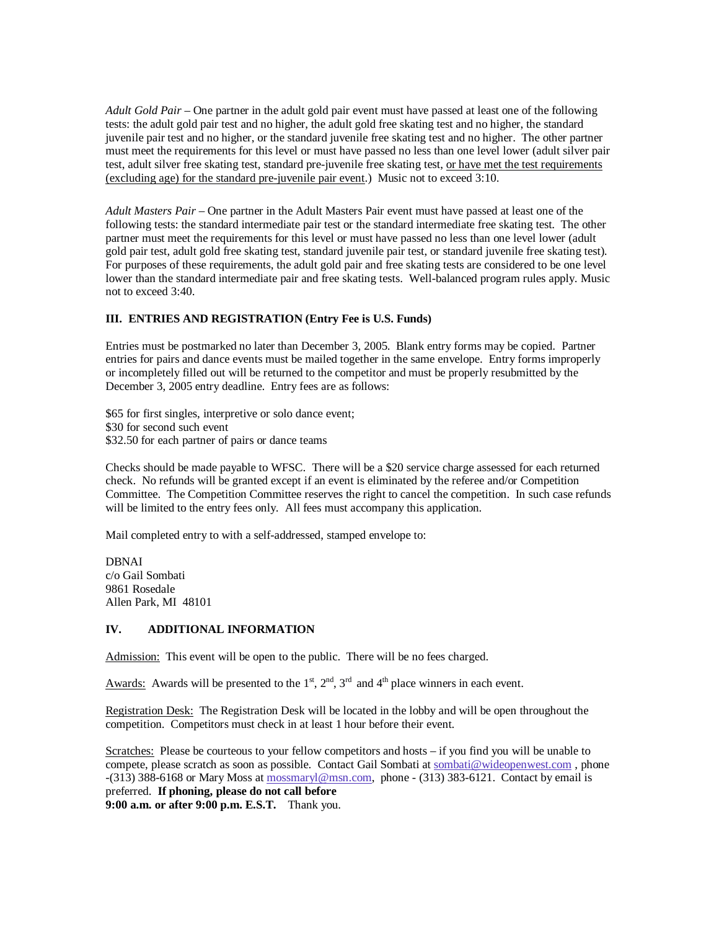*Adult Gold Pair* – One partner in the adult gold pair event must have passed at least one of the following tests: the adult gold pair test and no higher, the adult gold free skating test and no higher, the standard juvenile pair test and no higher, or the standard juvenile free skating test and no higher. The other partner must meet the requirements for this level or must have passed no less than one level lower (adult silver pair test, adult silver free skating test, standard pre-juvenile free skating test, or have met the test requirements (excluding age) for the standard pre-juvenile pair event.) Music not to exceed 3:10.

*Adult Masters Pair* – One partner in the Adult Masters Pair event must have passed at least one of the following tests: the standard intermediate pair test or the standard intermediate free skating test. The other partner must meet the requirements for this level or must have passed no less than one level lower (adult gold pair test, adult gold free skating test, standard juvenile pair test, or standard juvenile free skating test). For purposes of these requirements, the adult gold pair and free skating tests are considered to be one level lower than the standard intermediate pair and free skating tests. Well-balanced program rules apply. Music not to exceed 3:40.

### **III. ENTRIES AND REGISTRATION (Entry Fee is U.S. Funds)**

Entries must be postmarked no later than December 3, 2005. Blank entry forms may be copied. Partner entries for pairs and dance events must be mailed together in the same envelope. Entry forms improperly or incompletely filled out will be returned to the competitor and must be properly resubmitted by the December 3, 2005 entry deadline. Entry fees are as follows:

\$65 for first singles, interpretive or solo dance event; \$30 for second such event \$32.50 for each partner of pairs or dance teams

Checks should be made payable to WFSC. There will be a \$20 service charge assessed for each returned check. No refunds will be granted except if an event is eliminated by the referee and/or Competition Committee. The Competition Committee reserves the right to cancel the competition. In such case refunds will be limited to the entry fees only. All fees must accompany this application.

Mail completed entry to with a self-addressed, stamped envelope to:

DBNAI c/o Gail Sombati 9861 Rosedale Allen Park, MI 48101

### **IV. ADDITIONAL INFORMATION**

Admission: This event will be open to the public. There will be no fees charged.

Awards: Awards will be presented to the  $1<sup>st</sup>$ ,  $2<sup>nd</sup>$ ,  $3<sup>rd</sup>$  and  $4<sup>th</sup>$  place winners in each event.

Registration Desk: The Registration Desk will be located in the lobby and will be open throughout the competition. Competitors must check in at least 1 hour before their event.

Scratches: Please be courteous to your fellow competitors and hosts – if you find you will be unable to compete, please scratch as soon as possible. Contact Gail Sombati at sombati@wideopenwest.com, phone  $-(313)$  388-6168 or Mary Moss at mossmaryl@msn.com, phone - (313) 383-6121. Contact by email is preferred. **If phoning, please do not call before**

**9:00 a.m. or after 9:00 p.m. E.S.T.** Thank you.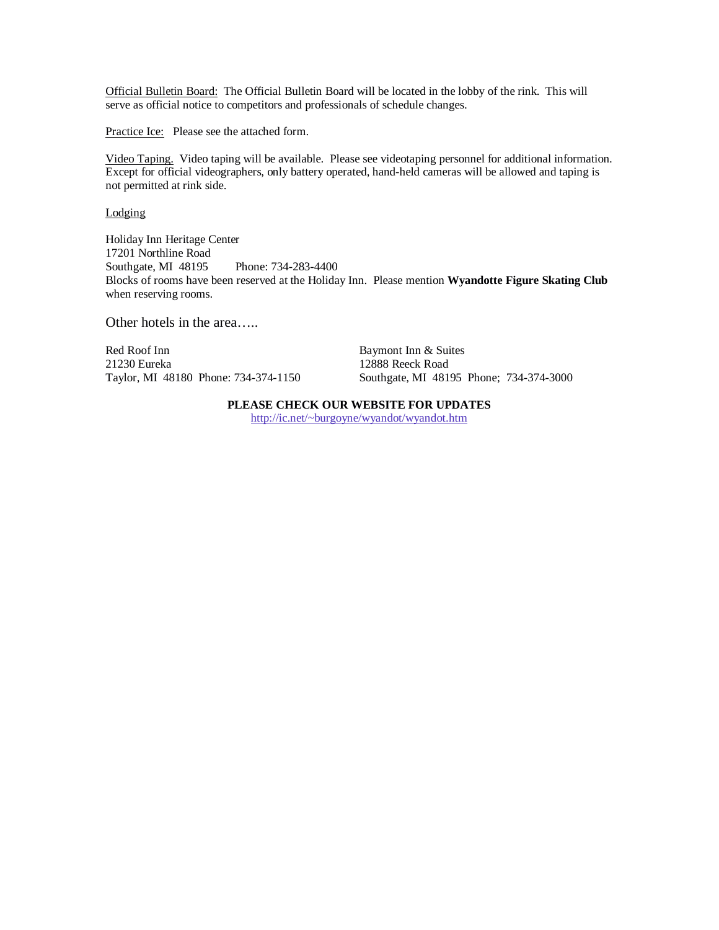Official Bulletin Board: The Official Bulletin Board will be located in the lobby of the rink. This will serve as official notice to competitors and professionals of schedule changes.

Practice Ice: Please see the attached form.

Video Taping. Video taping will be available. Please see videotaping personnel for additional information. Except for official videographers, only battery operated, hand-held cameras will be allowed and taping is not permitted at rink side.

Lodging

Holiday Inn Heritage Center 17201 Northline Road Southgate, MI 48195 Phone: 734-283-4400 Blocks of rooms have been reserved at the Holiday Inn. Please mention **Wyandotte Figure Skating Club** when reserving rooms.

Other hotels in the area…..

Red Roof Inn **Baymont Inn & Suites** 21230 Eureka 12888 Reeck Road

Taylor, MI 48180 Phone: 734-374-1150 Southgate, MI 48195 Phone; 734-374-3000

### **PLEASE CHECK OUR WEBSITE FOR UPDATES**

http://ic.net/~burgoyne/wyandot/wyandot.htm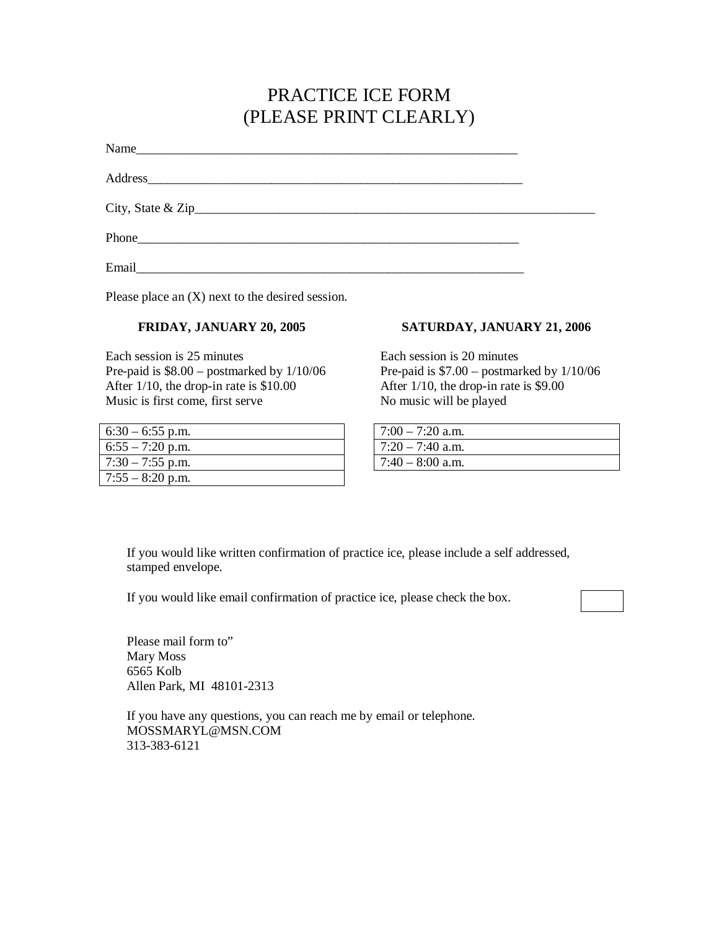# PRACTICE ICE FORM (PLEASE PRINT CLEARLY)

| Name  |  |
|-------|--|
|       |  |
|       |  |
|       |  |
| Email |  |

Please place an (X) next to the desired session.

# **FRIDAY, JANUARY 20, 2005**

Each session is 25 minutes Pre-paid is \$8.00 – postmarked by 1/10/06 After 1/10, the drop-in rate is \$10.00 Music is first come, first serve

| $6:30 - 6:55$ p.m. |
|--------------------|
| $6:55 - 7:20$ p.m. |
| $7:30 - 7:55$ p.m. |
| $7:55 - 8:20$ p.m. |

# **SATURDAY, JANUARY 21, 2006**

Each session is 20 minutes Pre-paid is \$7.00 – postmarked by 1/10/06 After 1/10, the drop-in rate is \$9.00 No music will be played

| $7:00 - 7:20$ a.m. |
|--------------------|
| $7:20 - 7:40$ a.m. |
| $7:40 - 8:00$ a.m. |

If you would like written confirmation of practice ice, please include a self addressed, stamped envelope.

If you would like email confirmation of practice ice, please check the box.

Please mail form to" Mary Moss 6565 Kolb Allen Park, MI 48101-2313

If you have any questions, you can reach me by email or telephone. MOSSMARYL@MSN.COM 313-383-6121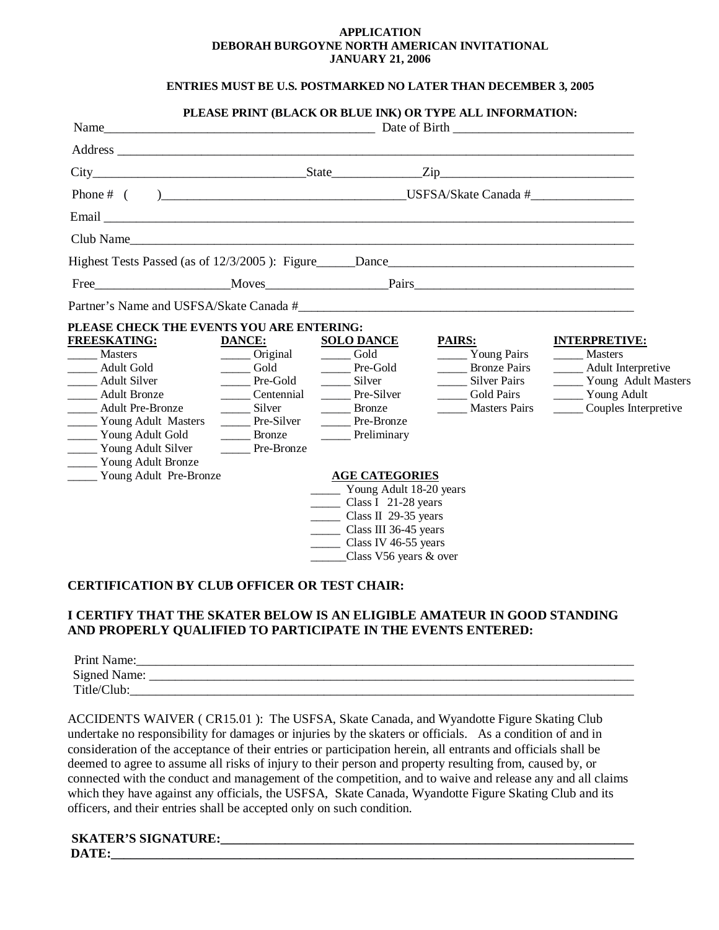### **APPLICATION DEBORAH BURGOYNE NORTH AMERICAN INVITATIONAL JANUARY 21, 2006**

## **ENTRIES MUST BE U.S. POSTMARKED NO LATER THAN DECEMBER 3, 2005**

|                                                            |               |                                     | PLEASE PRINT (BLACK OR BLUE INK) OR TYPE ALL INFORMATION: |                             |
|------------------------------------------------------------|---------------|-------------------------------------|-----------------------------------------------------------|-----------------------------|
|                                                            |               |                                     |                                                           |                             |
|                                                            |               |                                     |                                                           |                             |
|                                                            |               |                                     |                                                           |                             |
|                                                            |               |                                     |                                                           |                             |
|                                                            |               |                                     |                                                           |                             |
| Club Name                                                  |               |                                     |                                                           |                             |
| Highest Tests Passed (as of 12/3/2005): Figure Dance Dance |               |                                     |                                                           |                             |
| Free Moves Pairs Pairs                                     |               |                                     |                                                           |                             |
| Partner's Name and USFSA/Skate Canada #                    |               |                                     |                                                           |                             |
| PLEASE CHECK THE EVENTS YOU ARE ENTERING:                  |               |                                     |                                                           |                             |
| <b>FREESKATING:</b>                                        | DANCE:        | <b>SOLO DANCE</b>                   | <b>PAIRS:</b>                                             | <b>INTERPRETIVE:</b>        |
| <b>Masters</b>                                             | Original Gold |                                     | Young Pairs                                               | ______ Masters              |
| Adult Gold                                                 | Gold          | Pre-Gold                            | <b>Bronze Pairs</b>                                       | ______ Adult Interpretive   |
| <b>Marshall</b> Adult Silver                               | Pre-Gold      | Silver                              | Silver Pairs                                              | _______ Young Adult Masters |
| Adult Bronze                                               | Centennial    | Pre-Silver                          | Gold Pairs                                                | Young Adult                 |
| Adult Pre-Bronze                                           | Silver        | <b>Bronze</b>                       | <b>Masters Pairs</b>                                      | Couples Interpretive        |
| ________ Young Adult Masters                               | Pre-Silver    | Pre-Bronze                          |                                                           |                             |
| _____ Young Adult Gold                                     | Bronze        | ______ Preliminary                  |                                                           |                             |
| ______ Young Adult Silver                                  | Pre-Bronze    |                                     |                                                           |                             |
| _______ Young Adult Bronze                                 |               |                                     |                                                           |                             |
| ______ Young Adult Pre-Bronze                              |               | <b>AGE CATEGORIES</b>               |                                                           |                             |
|                                                            |               | Young Adult 18-20 years             |                                                           |                             |
|                                                            |               | Class I $21-28$ years               |                                                           |                             |
|                                                            |               | Class II $29-35$ years              |                                                           |                             |
|                                                            |               | $\sim$ Class III 36-45 years        |                                                           |                             |
|                                                            |               | $\frac{\ }{2}$ Class IV 46-55 years |                                                           |                             |
|                                                            |               | Class V56 years & over              |                                                           |                             |
|                                                            |               |                                     |                                                           |                             |

# **CERTIFICATION BY CLUB OFFICER OR TEST CHAIR:**

## **I CERTIFY THAT THE SKATER BELOW IS AN ELIGIBLE AMATEUR IN GOOD STANDING AND PROPERLY QUALIFIED TO PARTICIPATE IN THE EVENTS ENTERED:**

| Print Name:         |  |
|---------------------|--|
| <b>Signed Name:</b> |  |
| Title/Club:         |  |

ACCIDENTS WAIVER ( CR15.01 ): The USFSA, Skate Canada, and Wyandotte Figure Skating Club undertake no responsibility for damages or injuries by the skaters or officials. As a condition of and in consideration of the acceptance of their entries or participation herein, all entrants and officials shall be deemed to agree to assume all risks of injury to their person and property resulting from, caused by, or connected with the conduct and management of the competition, and to waive and release any and all claims which they have against any officials, the USFSA, Skate Canada, Wyandotte Figure Skating Club and its officers, and their entries shall be accepted only on such condition.

**SKATER'S SIGNATURE:** DATE: